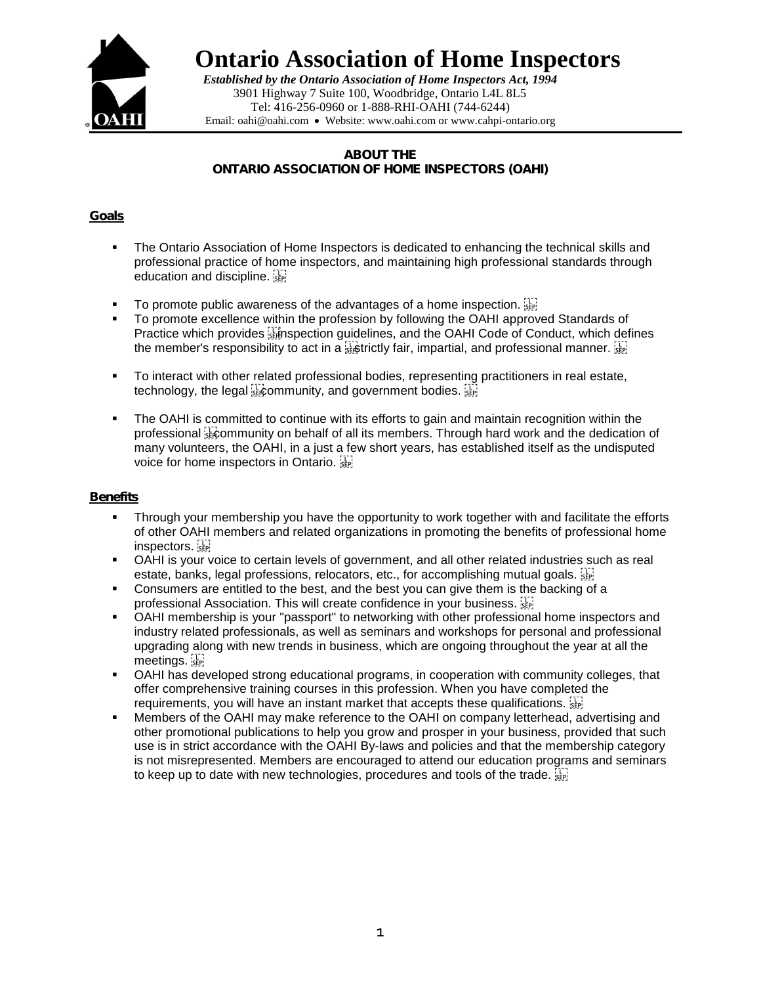

**Ontario Association of Home Inspectors**

*Established by the Ontario Association of Home Inspectors Act, 1994* 3901 Highway 7 Suite 100, Woodbridge, Ontario L4L 8L5 Tel: 416-256-0960 or 1-888-RHI-OAHI (744-6244) Email: oahi@oahi.com • Website: www.oahi.com or [www.cahpi-ontario.org](http://www.cahpi-ontario.org/)

ABOUT THE ONTARIO ASSOCIATION OF HOME INSPECTORS (OAHI)

## Goals

- The Ontario Association of Home Inspectors is dedicated to enhancing the technical skills and professional practice of home inspectors, and maintaining high professional standards through education and discipline.
- To promote public awareness of the advantages of a home inspection.  $\frac{17}{35}$
- To promote excellence within the profession by following the OAHI approved Standards of Practice which provides **is implection quidelines**, and the OAHI Code of Conduct, which defines the member's responsibility to act in a  $\frac{1}{3}$  strictly fair, impartial, and professional manner.  $\frac{1}{3}$
- **To interact with other related professional bodies, representing practitioners in real estate,** technology, the legal  $\frac{1}{2}$  community, and government bodies.  $\frac{1}{2}$
- The OAHI is committed to continue with its efforts to gain and maintain recognition within the professional show munity on behalf of all its members. Through hard work and the dedication of many volunteers, the OAHI, in a just a few short years, has established itself as the undisputed voice for home inspectors in Ontario.

## **Benefits**

- Through your membership you have the opportunity to work together with and facilitate the efforts of other OAHI members and related organizations in promoting the benefits of professional home inspectors.
- OAHI is your voice to certain levels of government, and all other related industries such as real estate, banks, legal professions, relocators, etc., for accomplishing mutual goals.
- Consumers are entitled to the best, and the best you can give them is the backing of a professional Association. This will create confidence in your business. **SEPI**
- OAHI membership is your "passport" to networking with other professional home inspectors and industry related professionals, as well as seminars and workshops for personal and professional upgrading along with new trends in business, which are ongoing throughout the year at all the meetings.
- OAHI has developed strong educational programs, in cooperation with community colleges, that offer comprehensive training courses in this profession. When you have completed the requirements, you will have an instant market that accepts these qualifications.
- Members of the OAHI may make reference to the OAHI on company letterhead, advertising and other promotional publications to help you grow and prosper in your business, provided that such use is in strict accordance with the OAHI By-laws and policies and that the membership category is not misrepresented. Members are encouraged to attend our education programs and seminars to keep up to date with new technologies, procedures and tools of the trade.